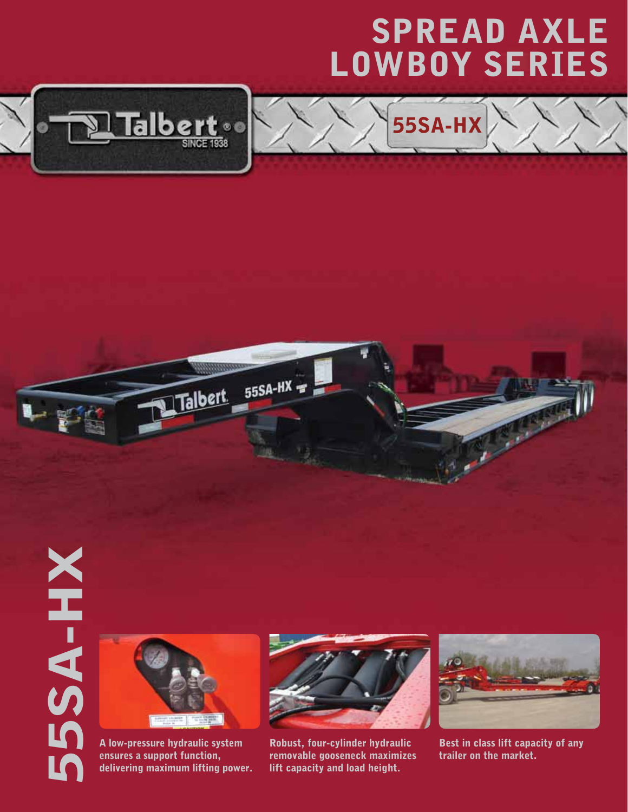## SPread Axle LOWBOY Series

55SA-HX



## 55SA-HX **SA-HX**



A low-pressure hydraulic system ensures a support function, delivering maximum lifting power.



55SA-HX

Talbert

Robust, four-cylinder hydraulic removable gooseneck maximizes lift capacity and load height.



Best in class lift capacity of any trailer on the market.